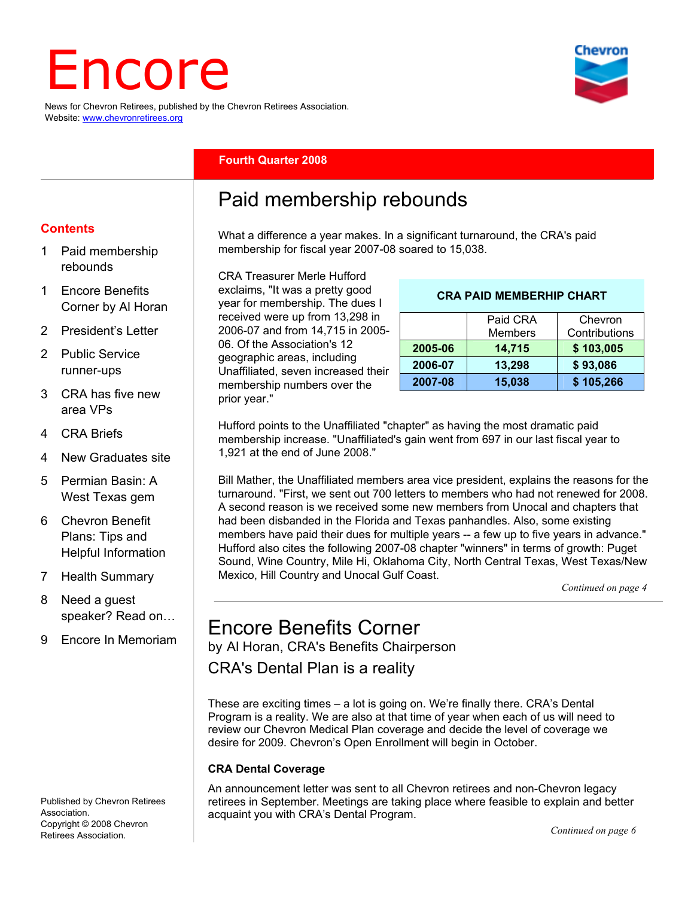# Encore

News for Chevron Retirees, published by the Chevron Retirees Association. Website: www.chevronretirees.org



#### **Fourth Quarter 2008**

# Paid membership rebounds

What a difference a year makes. In a significant turnaround, the CRA's paid membership for fiscal year 2007-08 soared to 15,038.

CRA Treasurer Merle Hufford exclaims, "It was a pretty good year for membership. The dues I received were up from 13,298 in 2006-07 and from 14,715 in 2005- 06. Of the Association's 12 geographic areas, including Unaffiliated, seven increased their membership numbers over the prior year."

#### **CRA PAID MEMBERHIP CHART**

|         | Paid CRA<br><b>Members</b> | Chevron<br>Contributions |
|---------|----------------------------|--------------------------|
| 2005-06 | 14,715                     | \$103,005                |
| 2006-07 | 13,298                     | \$93,086                 |
| 2007-08 | 15,038                     | \$105,266                |

Hufford points to the Unaffiliated "chapter" as having the most dramatic paid membership increase. "Unaffiliated's gain went from 697 in our last fiscal year to 1,921 at the end of June 2008."

Bill Mather, the Unaffiliated members area vice president, explains the reasons for the turnaround. "First, we sent out 700 letters to members who had not renewed for 2008. A second reason is we received some new members from Unocal and chapters that had been disbanded in the Florida and Texas panhandles. Also, some existing members have paid their dues for multiple years -- a few up to five years in advance." Hufford also cites the following 2007-08 chapter "winners" in terms of growth: Puget Sound, Wine Country, Mile Hi, Oklahoma City, North Central Texas, West Texas/New Mexico, Hill Country and Unocal Gulf Coast.

*Continued on page 4*

# Encore Benefits Corner

by Al Horan, CRA's Benefits Chairperson

CRA's Dental Plan is a reality

These are exciting times – a lot is going on. We're finally there. CRA's Dental Program is a reality. We are also at that time of year when each of us will need to review our Chevron Medical Plan coverage and decide the level of coverage we desire for 2009. Chevron's Open Enrollment will begin in October.

#### **CRA Dental Coverage**

An announcement letter was sent to all Chevron retirees and non-Chevron legacy retirees in September. Meetings are taking place where feasible to explain and better acquaint you with CRA's Dental Program.

#### **Contents**

- 1 Paid membership rebounds
- 1 Encore Benefits Corner by Al Horan
- 2 President's Letter
- 2 Public Service runner-ups
- 3 CRA has five new area VPs
- 4 CRA Briefs
- 4 New Graduates site
- 5 Permian Basin: A West Texas gem
- 6 Chevron Benefit Plans: Tips and Helpful Information
- 7 Health Summary
- 8 Need a guest speaker? Read on…
- 9 Encore In Memoriam

Published by Chevron Retirees Association. Copyright © 2008 Chevron Retirees Association.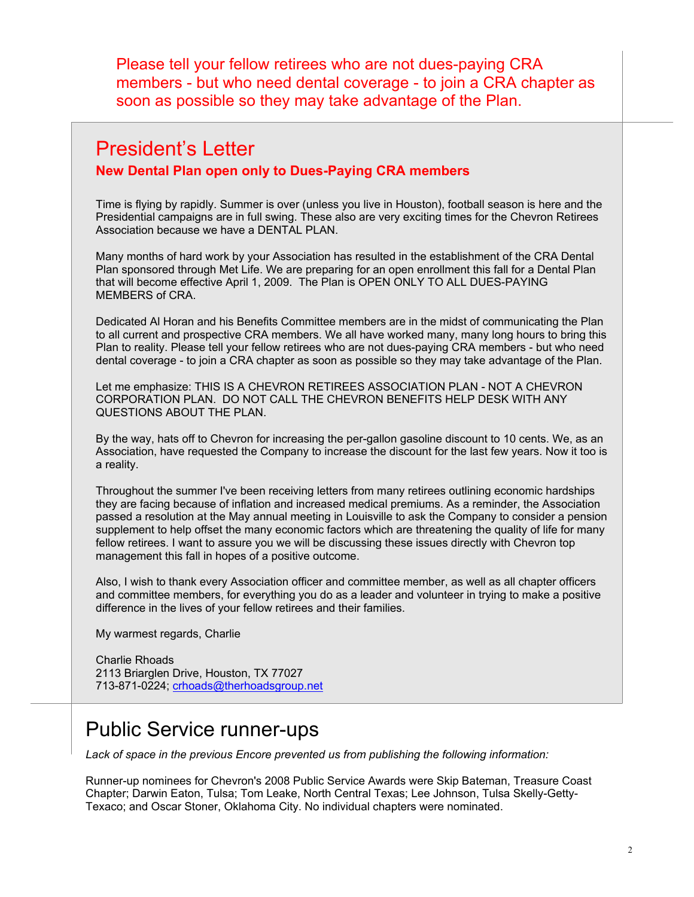Please tell your fellow retirees who are not dues-paying CRA members - but who need dental coverage - to join a CRA chapter as soon as possible so they may take advantage of the Plan.

## President's Letter

**New Dental Plan open only to Dues-Paying CRA members** 

Time is flying by rapidly. Summer is over (unless you live in Houston), football season is here and the Presidential campaigns are in full swing. These also are very exciting times for the Chevron Retirees Association because we have a DENTAL PLAN.

Many months of hard work by your Association has resulted in the establishment of the CRA Dental Plan sponsored through Met Life. We are preparing for an open enrollment this fall for a Dental Plan that will become effective April 1, 2009. The Plan is OPEN ONLY TO ALL DUES-PAYING MEMBERS of CRA.

Dedicated Al Horan and his Benefits Committee members are in the midst of communicating the Plan to all current and prospective CRA members. We all have worked many, many long hours to bring this Plan to reality. Please tell your fellow retirees who are not dues-paying CRA members - but who need dental coverage - to join a CRA chapter as soon as possible so they may take advantage of the Plan.

Let me emphasize: THIS IS A CHEVRON RETIREES ASSOCIATION PLAN - NOT A CHEVRON CORPORATION PLAN. DO NOT CALL THE CHEVRON BENEFITS HELP DESK WITH ANY QUESTIONS ABOUT THE PLAN.

By the way, hats off to Chevron for increasing the per-gallon gasoline discount to 10 cents. We, as an Association, have requested the Company to increase the discount for the last few years. Now it too is a reality.

Throughout the summer I've been receiving letters from many retirees outlining economic hardships they are facing because of inflation and increased medical premiums. As a reminder, the Association passed a resolution at the May annual meeting in Louisville to ask the Company to consider a pension supplement to help offset the many economic factors which are threatening the quality of life for many fellow retirees. I want to assure you we will be discussing these issues directly with Chevron top management this fall in hopes of a positive outcome.

Also, I wish to thank every Association officer and committee member, as well as all chapter officers and committee members, for everything you do as a leader and volunteer in trying to make a positive difference in the lives of your fellow retirees and their families.

My warmest regards, Charlie

Charlie Rhoads 2113 Briarglen Drive, Houston, TX 77027 713-871-0224; crhoads@therhoadsgroup.net

# Public Service runner-ups

*Lack of space in the previous Encore prevented us from publishing the following information:* 

Runner-up nominees for Chevron's 2008 Public Service Awards were Skip Bateman, Treasure Coast Chapter; Darwin Eaton, Tulsa; Tom Leake, North Central Texas; Lee Johnson, Tulsa Skelly-Getty-Texaco; and Oscar Stoner, Oklahoma City. No individual chapters were nominated.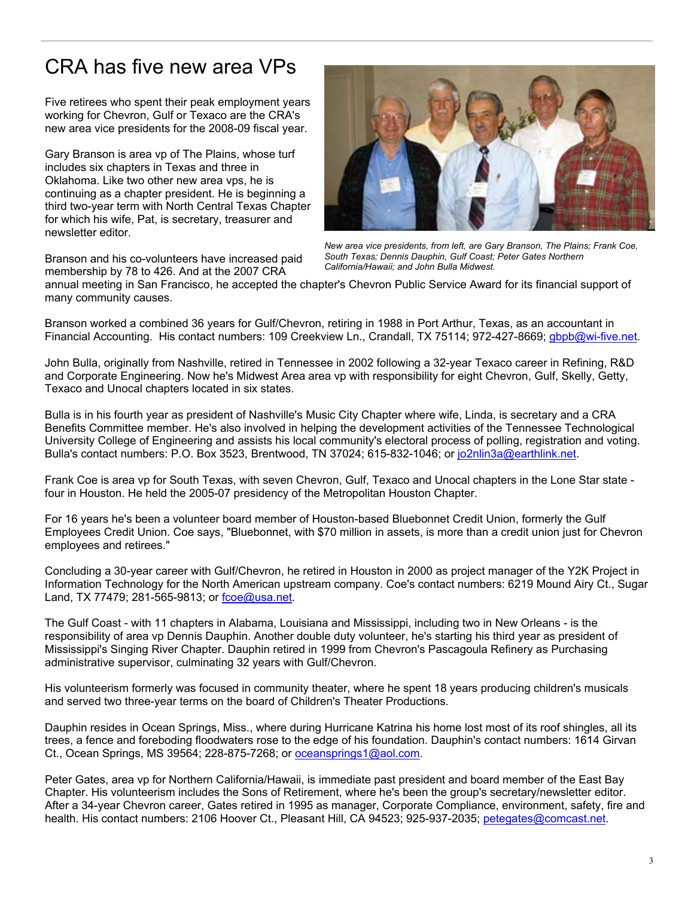# CRA has five new area VPs

Five retirees who spent their peak employment years working for Chevron, Gulf or Texaco are the CRA's new area vice presidents for the 2008-09 fiscal year.

Gary Branson is area vp of The Plains, whose turf includes six chapters in Texas and three in Oklahoma. Like two other new area vps, he is continuing as a chapter president. He is beginning a third two-year term with North Central Texas Chapter for which his wife, Pat, is secretary, treasurer and newsletter editor.

Branson and his co-volunteers have increased paid membership by 78 to 426. And at the 2007 CRA



*New area vice presidents, from left, are Gary Branson, The Plains; Frank Coe, South Texas; Dennis Dauphin, Gulf Coast; Peter Gates Northern California/Hawaii; and John Bulla Midwest.* 

annual meeting in San Francisco, he accepted the chapter's Chevron Public Service Award for its financial support of many community causes.

Branson worked a combined 36 years for Gulf/Chevron, retiring in 1988 in Port Arthur, Texas, as an accountant in Financial Accounting. His contact numbers: 109 Creekview Ln., Crandall, TX 75114; 972-427-8669; gbpb@wi-five.net.

John Bulla, originally from Nashville, retired in Tennessee in 2002 following a 32-year Texaco career in Refining, R&D and Corporate Engineering. Now he's Midwest Area area vp with responsibility for eight Chevron, Gulf, Skelly, Getty, Texaco and Unocal chapters located in six states.

Bulla is in his fourth year as president of Nashville's Music City Chapter where wife, Linda, is secretary and a CRA Benefits Committee member. He's also involved in helping the development activities of the Tennessee Technological University College of Engineering and assists his local community's electoral process of polling, registration and voting. Bulla's contact numbers: P.O. Box 3523, Brentwood, TN 37024; 615-832-1046; or jo2nlin3a@earthlink.net.

Frank Coe is area vp for South Texas, with seven Chevron, Guil, Texaco and Onocal criterian Houston. He held the 2005-07 presidency of the Metropolitan Houston Chapter. Frank Coe is area vp for South Texas, with seven Chevron, Gulf, Texaco and Unocal chapters in the Lone Star state -

For 16 years he's been a volunteer board member of Houston-based Bluebonnet Credit Union, formerly the Gulf Employees Credit Union. Coe says, "Bluebonnet, with \$70 million in assets, is more than a credit union just for Chevron employees and retirees."

Concluding a 30-year career with Gulf/Chevron, he retired in Houston in 2000 as project manager of the Y2K Project in Information Technology for the North American upstream company. Coe's contact numbers: 6219 Mound Airy Ct., Sugar Land, TX 77479; 281-565-9813; or fcoe@usa.net.

The Gulf Coast - with 11 chapters in Alabama, Louisiana and Mississippi, including two in New Orleans - is the responsibility of area vp Dennis Dauphin. Another double duty volunteer, he's starting his third year as president of Mississippi's Singing River Chapter. Dauphin retired in 1999 from Chevron's Pascagoula Refinery as Purchasing administrative supervisor, culminating 32 years with Gulf/Chevron.

His volunteerism formerly was focused in community theater, where he spent 18 years producing children's musicals and served two three-year terms on the board of Children's Theater Productions.

Dauphin resides in Ocean Springs, Miss., where during Hurricane Katrina his home lost most of its roof shingles, all its trees, a fence and foreboding floodwaters rose to the edge of his foundation. Dauphin's contact numbers: 1614 Girvan Ct., Ocean Springs, MS 39564; 228-875-7268; or oceansprings1@aol.com.

Peter Gates, area vp for Northern California/Hawaii, is immediate past president and board member of the East Bay Chapter. His volunteerism includes the Sons of Retirement, where he's been the group's secretary/newsletter editor. After a 34-year Chevron career, Gates retired in 1995 as manager, Corporate Compliance, environment, safety, fire and health. His contact numbers: 2106 Hoover Ct., Pleasant Hill, CA 94523; 925-937-2035; petegates@comcast.net.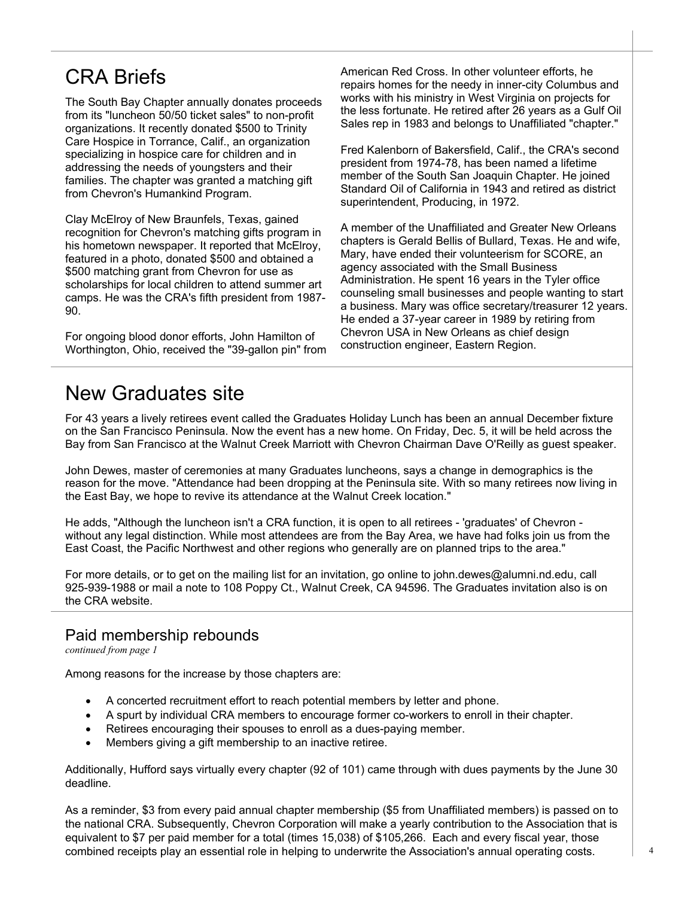# CRA Briefs

The South Bay Chapter annually donates proceeds from its "luncheon 50/50 ticket sales" to non-profit organizations. It recently donated \$500 to Trinity Care Hospice in Torrance, Calif., an organization specializing in hospice care for children and in addressing the needs of youngsters and their families. The chapter was granted a matching gift from Chevron's Humankind Program.

Clay McElroy of New Braunfels, Texas, gained recognition for Chevron's matching gifts program in his hometown newspaper. It reported that McElroy, featured in a photo, donated \$500 and obtained a \$500 matching grant from Chevron for use as scholarships for local children to attend summer art camps. He was the CRA's fifth president from 1987- 90.

For ongoing blood donor efforts, John Hamilton of Worthington, Ohio, received the "39-gallon pin" from American Red Cross. In other volunteer efforts, he repairs homes for the needy in inner-city Columbus and works with his ministry in West Virginia on projects for the less fortunate. He retired after 26 years as a Gulf Oil Sales rep in 1983 and belongs to Unaffiliated "chapter."

Fred Kalenborn of Bakersfield, Calif., the CRA's second president from 1974-78, has been named a lifetime member of the South San Joaquin Chapter. He joined Standard Oil of California in 1943 and retired as district superintendent, Producing, in 1972.

A member of the Unaffiliated and Greater New Orleans chapters is Gerald Bellis of Bullard, Texas. He and wife, Mary, have ended their volunteerism for SCORE, an agency associated with the Small Business Administration. He spent 16 years in the Tyler office counseling small businesses and people wanting to start a business. Mary was office secretary/treasurer 12 years. He ended a 37-year career in 1989 by retiring from Chevron USA in New Orleans as chief design construction engineer, Eastern Region.

## New Graduates site

For 43 years a lively retirees event called the Graduates Holiday Lunch has been an annual December fixture on the San Francisco Peninsula. Now the event has a new home. On Friday, Dec. 5, it will be held across the Bay from San Francisco at the Walnut Creek Marriott with Chevron Chairman Dave O'Reilly as guest speaker.

John Dewes, master of ceremonies at many Graduates luncheons, says a change in demographics is the reason for the move. "Attendance had been dropping at the Peninsula site. With so many retirees now living in the East Bay, we hope to revive its attendance at the Walnut Creek location."

He adds, "Although the luncheon isn't a CRA function, it is open to all retirees - 'graduates' of Chevron without any legal distinction. While most attendees are from the Bay Area, we have had folks join us from the East Coast, the Pacific Northwest and other regions who generally are on planned trips to the area."

For more details, or to get on the mailing list for an invitation, go online to john.dewes@alumni.nd.edu, call 925-939-1988 or mail a note to 108 Poppy Ct., Walnut Creek, CA 94596. The Graduates invitation also is on the CRA website.

#### Paid membership rebounds

*continued from page 1*

Among reasons for the increase by those chapters are:

- A concerted recruitment effort to reach potential members by letter and phone.
- A spurt by individual CRA members to encourage former co-workers to enroll in their chapter.
- Retirees encouraging their spouses to enroll as a dues-paying member.
- Members giving a gift membership to an inactive retiree.

Additionally, Hufford says virtually every chapter (92 of 101) came through with dues payments by the June 30 deadline.

As a reminder, \$3 from every paid annual chapter membership (\$5 from Unaffiliated members) is passed on to the national CRA. Subsequently, Chevron Corporation will make a yearly contribution to the Association that is equivalent to \$7 per paid member for a total (times 15,038) of \$105,266. Each and every fiscal year, those combined receipts play an essential role in helping to underwrite the Association's annual operating costs.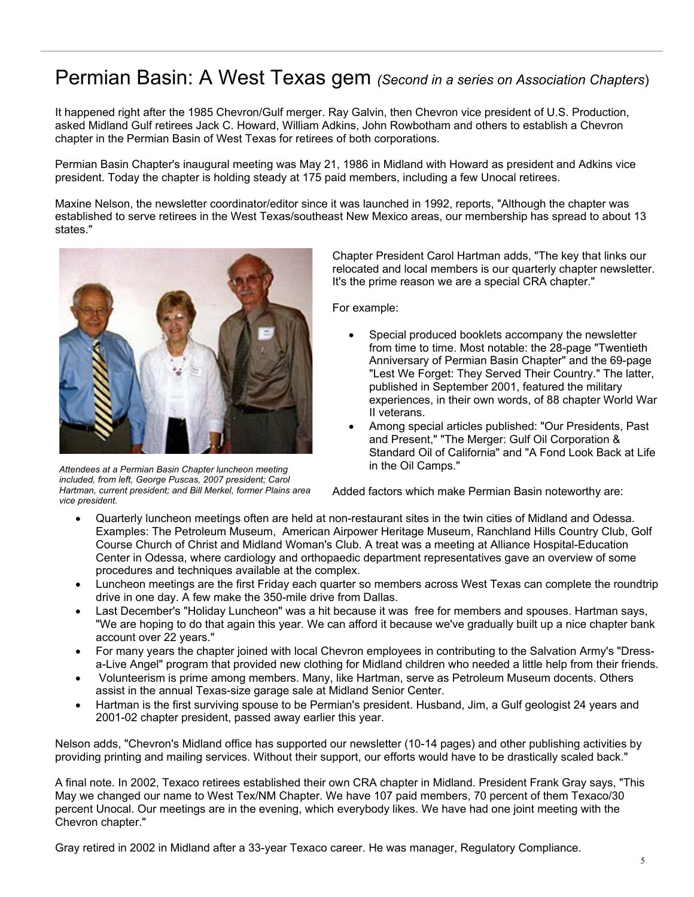## Permian Basin: A West Texas gem *(Second in a series on Association Chapters*)

It happened right after the 1985 Chevron/Gulf merger. Ray Galvin, then Chevron vice president of U.S. Production, asked Midland Gulf retirees Jack C. Howard, William Adkins, John Rowbotham and others to establish a Chevron chapter in the Permian Basin of West Texas for retirees of both corporations.

Permian Basin Chapter's inaugural meeting was May 21, 1986 in Midland with Howard as president and Adkins vice president. Today the chapter is holding steady at 175 paid members, including a few Unocal retirees.

Maxine Nelson, the newsletter coordinator/editor since it was launched in 1992, reports, "Although the chapter was established to serve retirees in the West Texas/southeast New Mexico areas, our membership has spread to about 13 states."



*Attendees at a Permian Basin Chapter luncheon meeting included, from left, George Puscas, 2007 president; Carol Hartman, current president; and Bill Merkel, former Plains area vice president.* 

Chapter President Carol Hartman adds, "The key that links our relocated and local members is our quarterly chapter newsletter. It's the prime reason we are a special CRA chapter."

For example:

- Special produced booklets accompany the newsletter from time to time. Most notable: the 28-page "Twentieth Anniversary of Permian Basin Chapter" and the 69-page "Lest We Forget: They Served Their Country." The latter, published in September 2001, featured the military experiences, in their own words, of 88 chapter World War II veterans.
- Among special articles published: "Our Presidents, Past and Present," "The Merger: Gulf Oil Corporation & Standard Oil of California" and "A Fond Look Back at Life in the Oil Camps."

Added factors which make Permian Basin noteworthy are:

- Quarterly luncheon meetings often are held at non-restaurant sites in the twin cities of Midland and Odessa. Examples: The Petroleum Museum, American Airpower Heritage Museum, Ranchland Hills Country Club, Golf Course Church of Christ and Midland Woman's Club. A treat was a meeting at Alliance Hospital-Education Center in Odessa, where cardiology and orthopaedic department representatives gave an overview of some procedures and techniques available at the complex.
- Luncheon meetings are the first Friday each quarter so members across West Texas can complete the roundtrip drive in one day. A few make the 350-mile drive from Dallas.
- Last December's "Holiday Luncheon" was a hit because it was free for members and spouses. Hartman says, "We are hoping to do that again this year. We can afford it because we've gradually built up a nice chapter bank account over 22 years."
- For many years the chapter joined with local Chevron employees in contributing to the Salvation Army's "Dressa-Live Angel" program that provided new clothing for Midland children who needed a little help from their friends.
- Volunteerism is prime among members. Many, like Hartman, serve as Petroleum Museum docents. Others assist in the annual Texas-size garage sale at Midland Senior Center.
- Hartman is the first surviving spouse to be Permian's president. Husband, Jim, a Gulf geologist 24 years and 2001-02 chapter president, passed away earlier this year.

Nelson adds, "Chevron's Midland office has supported our newsletter (10-14 pages) and other publishing activities by providing printing and mailing services. Without their support, our efforts would have to be drastically scaled back."

A final note. In 2002, Texaco retirees established their own CRA chapter in Midland. President Frank Gray says, "This May we changed our name to West Tex/NM Chapter. We have 107 paid members, 70 percent of them Texaco/30 percent Unocal. Our meetings are in the evening, which everybody likes. We have had one joint meeting with the Chevron chapter."

Gray retired in 2002 in Midland after a 33-year Texaco career. He was manager, Regulatory Compliance.<br>5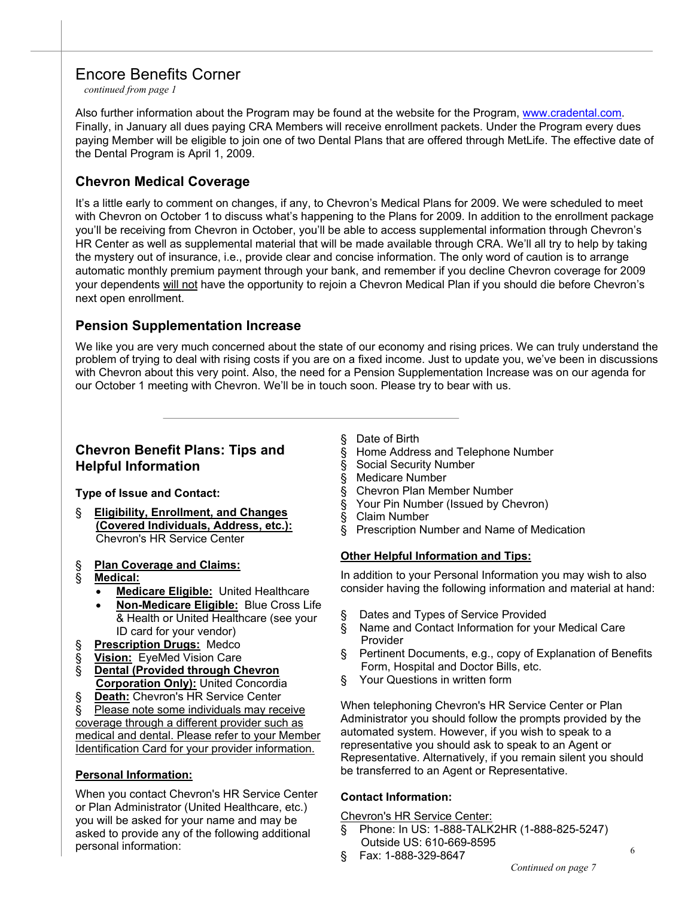## Encore Benefits Corner

*continued from page 1*

Also further information about the Program may be found at the website for the Program, www.cradental.com. Finally, in January all dues paying CRA Members will receive enrollment packets. Under the Program every dues paying Member will be eligible to join one of two Dental Plans that are offered through MetLife. The effective date of the Dental Program is April 1, 2009.

### **Chevron Medical Coverage**

It's a little early to comment on changes, if any, to Chevron's Medical Plans for 2009. We were scheduled to meet with Chevron on October 1 to discuss what's happening to the Plans for 2009. In addition to the enrollment package you'll be receiving from Chevron in October, you'll be able to access supplemental information through Chevron's HR Center as well as supplemental material that will be made available through CRA. We'll all try to help by taking the mystery out of insurance, i.e., provide clear and concise information. The only word of caution is to arrange automatic monthly premium payment through your bank, and remember if you decline Chevron coverage for 2009 your dependents will not have the opportunity to rejoin a Chevron Medical Plan if you should die before Chevron's next open enrollment.

## **Pension Supplementation Increase**

We like you are very much concerned about the state of our economy and rising prices. We can truly understand the problem of trying to deal with rising costs if you are on a fixed income. Just to update you, we've been in discussions with Chevron about this very point. Also, the need for a Pension Supplementation Increase was on our agenda for our October 1 meeting with Chevron. We'll be in touch soon. Please try to bear with us.

#### **Chevron Benefit Plans: Tips and Helpful Information**

**Type of Issue and Contact:** 

§ **Eligibility, Enrollment, and Changes (Covered Individuals, Address, etc.):** Chevron's HR Service Center

#### § **Plan Coverage and Claims:**

- § **Medical:**
	- **Medicare Eligible:** United Healthcare
	- **Non-Medicare Eligible:** Blue Cross Life & Health or United Healthcare (see your ID card for your vendor)
- § **Prescription Drugs:** Medco
- § **Vision:** EyeMed Vision Care
- § **Dental (Provided through Chevron Corporation Only):** United Concordia
- § **Death:** Chevron's HR Service Center

§ Please note some individuals may receive coverage through a different provider such as medical and dental. Please refer to your Member Identification Card for your provider information.

#### **Personal Information:**

When you contact Chevron's HR Service Center or Plan Administrator (United Healthcare, etc.) you will be asked for your name and may be asked to provide any of the following additional personal information:

§ Date of Birth

- § Home Address and Telephone Number
- § Social Security Number
- § Medicare Number
- § Chevron Plan Member Number
- § Your Pin Number (Issued by Chevron)
- § Claim Number
- § Prescription Number and Name of Medication

#### **Other Helpful Information and Tips:**

In addition to your Personal Information you may wish to also consider having the following information and material at hand:

- § Dates and Types of Service Provided
- § Name and Contact Information for your Medical Care Provider
- § Pertinent Documents, e.g., copy of Explanation of Benefits Form, Hospital and Doctor Bills, etc.
- § Your Questions in written form

When telephoning Chevron's HR Service Center or Plan Administrator you should follow the prompts provided by the automated system. However, if you wish to speak to a representative you should ask to speak to an Agent or Representative. Alternatively, if you remain silent you should be transferred to an Agent or Representative.

#### **Contact Information:**

Chevron's HR Service Center:

- § Phone: In US: 1-888-TALK2HR (1-888-825-5247) Outside US: 610-669-8595
- § Fax: 1-888-329-8647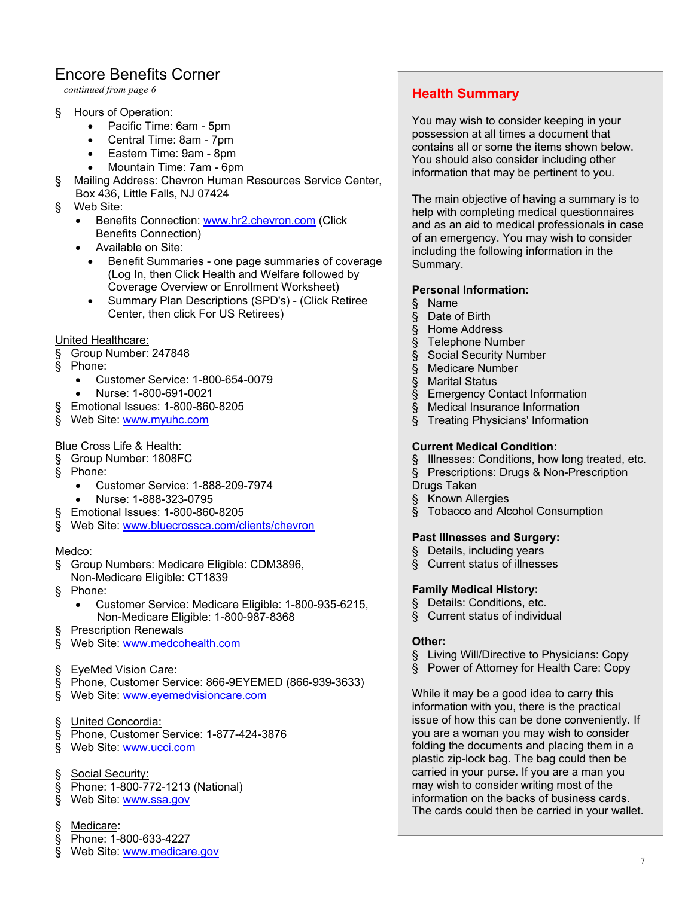## Encore Benefits Corner

*continued from page 6*

- § Hours of Operation:
	- Pacific Time: 6am 5pm
	- Central Time: 8am 7pm
	- Eastern Time: 9am 8pm
	- Mountain Time: 7am 6pm
- § Mailing Address: Chevron Human Resources Service Center,
- Box 436, Little Falls, NJ 07424
- § Web Site:
	- Benefits Connection: www.hr2.chevron.com (Click Benefits Connection)
	- Available on Site:
		- Benefit Summaries one page summaries of coverage (Log In, then Click Health and Welfare followed by Coverage Overview or Enrollment Worksheet)
		- Summary Plan Descriptions (SPD's) (Click Retiree Center, then click For US Retirees)

#### United Healthcare:

- § Group Number: 247848
- § Phone:
	- Customer Service: 1-800-654-0079
	- Nurse: 1-800-691-0021
- § Emotional Issues: 1-800-860-8205
- § Web Site: www.myuhc.com

#### Blue Cross Life & Health:

- § Group Number: 1808FC
- § Phone:
	- Customer Service: 1-888-209-7974
	- Nurse: 1-888-323-0795
	- § Emotional Issues: 1-800-860-8205
- § Web Site: www.bluecrossca.com/clients/chevron

#### Medco:

- § Group Numbers: Medicare Eligible: CDM3896,
- Non-Medicare Eligible: CT1839
- § Phone:
	- Customer Service: Medicare Eligible: 1-800-935-6215, Non-Medicare Eligible: 1-800-987-8368
- § Prescription Renewals
- § Web Site: www.medcohealth.com
- § EyeMed Vision Care:
- § Phone, Customer Service: 866-9EYEMED (866-939-3633)
- § Web Site: www.eyemedvisioncare.com
- § United Concordia:
- § Phone, Customer Service: 1-877-424-3876
- § Web Site: www.ucci.com
- § Social Security:
- § Phone: 1-800-772-1213 (National)
- § Web Site: www.ssa.gov
- Medicare:
- § Phone: 1-800-633-4227
- § Web Site: www.medicare.gov

## **Health Summary**

You may wish to consider keeping in your possession at all times a document that contains all or some the items shown below. You should also consider including other information that may be pertinent to you.

The main objective of having a summary is to help with completing medical questionnaires and as an aid to medical professionals in case of an emergency. You may wish to consider including the following information in the Summary.

#### **Personal Information:**

- § Name
- § Date of Birth
- § Home Address
- § Telephone Number
- § Social Security Number
- § Medicare Number
- § Marital Status
- § Emergency Contact Information
- § Medical Insurance Information
- § Treating Physicians' Information

#### **Current Medical Condition:**

- § Illnesses: Conditions, how long treated, etc.
- § Prescriptions: Drugs & Non-Prescription
- Drugs Taken
- § Known Allergies
- § Tobacco and Alcohol Consumption

#### **Past Illnesses and Surgery:**

- § Details, including years
- § Current status of illnesses

#### **Family Medical History:**

- § Details: Conditions, etc.
- § Current status of individual

#### **Other:**

- § Living Will/Directive to Physicians: Copy
- § Power of Attorney for Health Care: Copy

While it may be a good idea to carry this information with you, there is the practical issue of how this can be done conveniently. If you are a woman you may wish to consider folding the documents and placing them in a plastic zip-lock bag. The bag could then be carried in your purse. If you are a man you may wish to consider writing most of the information on the backs of business cards. The cards could then be carried in your wallet.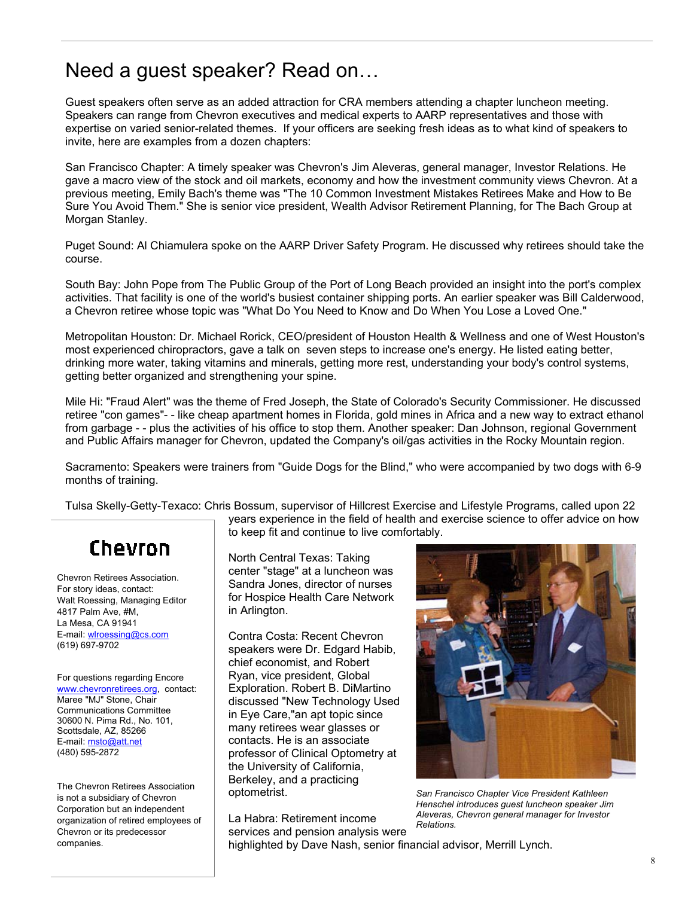# Need a guest speaker? Read on…

Guest speakers often serve as an added attraction for CRA members attending a chapter luncheon meeting. Speakers can range from Chevron executives and medical experts to AARP representatives and those with expertise on varied senior-related themes. If your officers are seeking fresh ideas as to what kind of speakers to invite, here are examples from a dozen chapters:

San Francisco Chapter: A timely speaker was Chevron's Jim Aleveras, general manager, Investor Relations. He gave a macro view of the stock and oil markets, economy and how the investment community views Chevron. At a previous meeting, Emily Bach's theme was "The 10 Common Investment Mistakes Retirees Make and How to Be Sure You Avoid Them." She is senior vice president, Wealth Advisor Retirement Planning, for The Bach Group at Morgan Stanley.

Puget Sound: Al Chiamulera spoke on the AARP Driver Safety Program. He discussed why retirees should take the course.

South Bay: John Pope from The Public Group of the Port of Long Beach provided an insight into the port's complex activities. That facility is one of the world's busiest container shipping ports. An earlier speaker was Bill Calderwood, a Chevron retiree whose topic was "What Do You Need to Know and Do When You Lose a Loved One."

Metropolitan Houston: Dr. Michael Rorick, CEO/president of Houston Health & Wellness and one of West Houston's most experienced chiropractors, gave a talk on seven steps to increase one's energy. He listed eating better, drinking more water, taking vitamins and minerals, getting more rest, understanding your body's control systems, getting better organized and strengthening your spine.

Mile Hi: "Fraud Alert" was the theme of Fred Joseph, the State of Colorado's Security Commissioner. He discussed retiree "con games"- - like cheap apartment homes in Florida, gold mines in Africa and a new way to extract ethanol from garbage - - plus the activities of his office to stop them. Another speaker: Dan Johnson, regional Government and Public Affairs manager for Chevron, updated the Company's oil/gas activities in the Rocky Mountain region.

Sacramento: Speakers were trainers from "Guide Dogs for the Blind," who were accompanied by two dogs with 6-9 months of training.

Tulsa Skelly-Getty-Texaco: Chris Bossum, supervisor of Hillcrest Exercise and Lifestyle Programs, called upon 22

# Chevron

Chevron Retirees Association. For story ideas, contact: Walt Roessing, Managing Editor 4817 Palm Ave, #M, La Mesa, CA 91941 E-mail: wlroessing@cs.com (619) 697-9702

For questions regarding Encore www.chevronretirees.org, contact: Maree "MJ" Stone, Chair Communications Committee 30600 N. Pima Rd., No. 101, Scottsdale, AZ, 85266 E-mail: msto@att.net (480) 595-2872

The Chevron Retirees Association is not a subsidiary of Chevron Corporation but an independent organization of retired employees of Chevron or its predecessor companies.

years experience in the field of health and exercise science to offer advice on how to keep fit and continue to live comfortably.

North Central Texas: Taking center "stage" at a luncheon was Sandra Jones, director of nurses for Hospice Health Care Network in Arlington.

Contra Costa: Recent Chevron speakers were Dr. Edgard Habib, chief economist, and Robert Ryan, vice president, Global Exploration. Robert B. DiMartino discussed "New Technology Used in Eye Care,"an apt topic since many retirees wear glasses or contacts. He is an associate professor of Clinical Optometry at the University of California, Berkeley, and a practicing optometrist.

La Habra: Retirement income services and pension analysis were *Relations.* 



*San Francisco Chapter Vice President Kathleen Henschel introduces guest luncheon speaker Jim Aleveras, Chevron general manager for Investor* 

highlighted by Dave Nash, senior financial advisor, Merrill Lynch.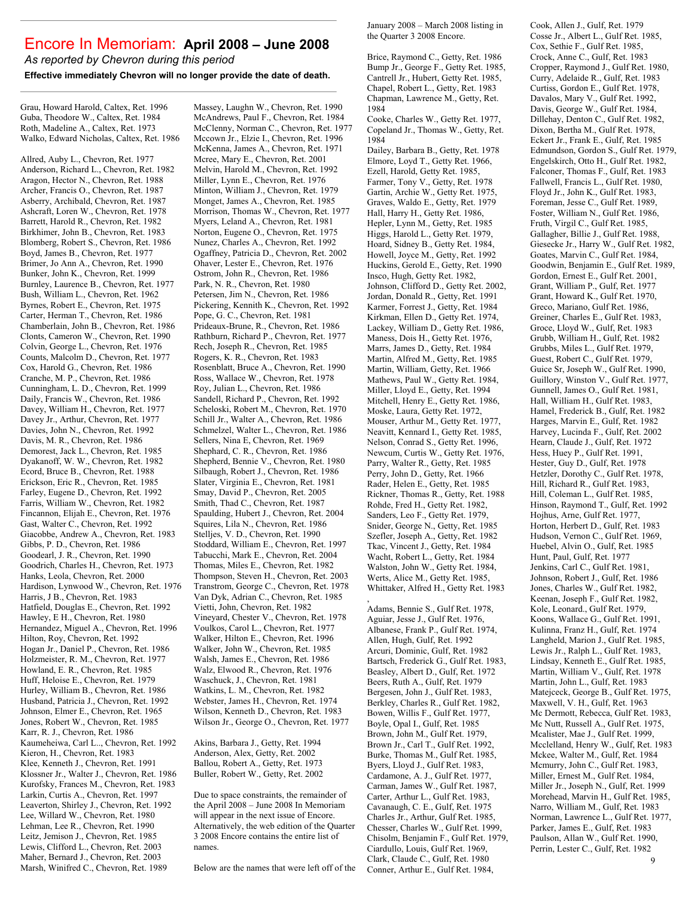## Encore In Memoriam: **April 2008 – June 2008**

*As reported by Chevron during this period*

**Effective immediately Chevron will no longer provide the date of death.** 

Grau, Howard Harold, Caltex, Ret. 1996 Guba, Theodore W., Caltex, Ret. 1984 Roth, Madeline A., Caltex, Ret. 1973 Walko, Edward Nicholas, Caltex, Ret. 1986

Allred, Auby L., Chevron, Ret. 1977 Anderson, Richard L., Chevron, Ret. 1982 Aragon, Hector N., Chevron, Ret. 1988 Archer, Francis O., Chevron, Ret. 1987 Asberry, Archibald, Chevron, Ret. 1987 Ashcraft, Loren W., Chevron, Ret. 1978 Barrett, Harold R., Chevron, Ret. 1982 Birkhimer, John B., Chevron, Ret. 1983 Blomberg, Robert S., Chevron, Ret. 1986 Boyd, James B., Chevron, Ret. 1977 Brimer, Jo Ann A., Chevron, Ret. 1990 Bunker, John K., Chevron, Ret. 1999 Burnley, Laurence B., Chevron, Ret. 1977 Bush, William L., Chevron, Ret. 1962 Byrnes, Robert E., Chevron, Ret. 1975 Carter, Herman T., Chevron, Ret. 1986 Chamberlain, John B., Chevron, Ret. 1986 Clonts, Cameron W., Chevron, Ret. 1990 Colvin, George L., Chevron, Ret. 1976 Counts, Malcolm D., Chevron, Ret. 1977 Cox, Harold G., Chevron, Ret. 1986 Cranche, M. P., Chevron, Ret. 1986 Cunningham, L. D., Chevron, Ret. 1999 Daily, Francis W., Chevron, Ret. 1986 Davey, William H., Chevron, Ret. 1977 Davey Jr., Arthur, Chevron, Ret. 1977 Davies, John N., Chevron, Ret. 1992 Davis, M. R., Chevron, Ret. 1986 Demorest, Jack L., Chevron, Ret. 1985 Dyakanoff, W. W., Chevron, Ret. 1982 Ecord, Bruce B., Chevron, Ret. 1988 Erickson, Eric R., Chevron, Ret. 1985 Farley, Eugene D., Chevron, Ret. 1992 Farris, William W., Chevron, Ret. 1982 Fincannon, Elijah E., Chevron, Ret. 1976 Gast, Walter C., Chevron, Ret. 1992 Giacobbe, Andrew A., Chevron, Ret. 1983 Gibbs, P. D., Chevron, Ret. 1986 Goodearl, J. R., Chevron, Ret. 1990 Goodrich, Charles H., Chevron, Ret. 1973 Hanks, Leola, Chevron, Ret. 2000 Hardison, Lynwood W., Chevron, Ret. 1976 Harris, J B., Chevron, Ret. 1983 Hatfield, Douglas E., Chevron, Ret. 1992 Hawley, E H., Chevron, Ret. 1980 Hernandez, Miguel A., Chevron, Ret. 1996 Hilton, Roy, Chevron, Ret. 1992 Hogan Jr., Daniel P., Chevron, Ret. 1986 Holzmeister, R. M., Chevron, Ret. 1977 Howland, E. R., Chevron, Ret. 1985 Huff, Heloise E., Chevron, Ret. 1979 Hurley, William B., Chevron, Ret. 1986 Husband, Patricia J., Chevron, Ret. 1992 Johnson, Elmer E., Chevron, Ret. 1965 Jones, Robert W., Chevron, Ret. 1985 Karr, R. J., Chevron, Ret. 1986 Kaumeheiwa, Carl L.., Chevron, Ret. 1992 Kieron, H., Chevron, Ret. 1983 Klee, Kenneth J., Chevron, Ret. 1991 Klossner Jr., Walter J., Chevron, Ret. 1986 Kurofsky, Frances M., Chevron, Ret. 1983 Larkin, Curtis A., Chevron, Ret. 1997 Leaverton, Shirley J., Chevron, Ret. 1992 Lee, Willard W., Chevron, Ret. 1980 Lehman, Lee R., Chevron, Ret. 1990 Leitz, Jemison J., Chevron, Ret. 1985 Lewis, Clifford L., Chevron, Ret. 2003 Maher, Bernard J., Chevron, Ret. 2003 Marsh, Winifred C., Chevron, Ret. 1989

Massey, Laughn W., Chevron, Ret. 1990 McAndrews, Paul F., Chevron, Ret. 1984 McClenny, Norman C., Chevron, Ret. 1977 Mccown Jr., Elzie I., Chevron, Ret. 1996 McKenna, James A., Chevron, Ret. 1971 Mcree, Mary E., Chevron, Ret. 2001. Melvin, Harold M., Chevron, Ret. 1992 Miller, Lynn E., Chevron, Ret. 1976 Minton, William J., Chevron, Ret. 1979 Monget, James A., Chevron, Ret. 1985 Morrison, Thomas W., Chevron, Ret. 1977 Myers, Leland A., Chevron, Ret. 1981 Norton, Eugene O., Chevron, Ret. 1975 Nunez, Charles A., Chevron, Ret. 1992 Ogaffney, Patricia D., Chevron, Ret. 2002 Ohaver, Lester E., Chevron, Ret. 1976 Ostrom, John R., Chevron, Ret. 1986 Park, N. R., Chevron, Ret. 1980 Petersen, Jim N., Chevron, Ret. 1986 Pickering, Kennith K., Chevron, Ret. 1992 Pope, G. C., Chevron, Ret. 1981 Prideaux-Brune, R., Chevron, Ret. 1986 Rathburn, Richard P., Chevron, Ret. 1977 Rech, Joseph R., Chevron, Ret. 1985 Rogers, K. R., Chevron, Ret. 1983 Rosenblatt, Bruce A., Chevron, Ret. 1990 Ross, Wallace W., Chevron, Ret. 1978 Roy, Julian L., Chevron, Ret. 1986 Sandell, Richard P., Chevron, Ret. 1992 Scheloski, Robert M., Chevron, Ret. 1970 Schill Jr., Walter A., Chevron, Ret. 1986 Schmelzel, Walter L., Chevron, Ret. 1986 Sellers, Nina E, Chevron, Ret. 1969 Shephard, C. R., Chevron, Ret. 1986 Shepherd, Bennie V., Chevron, Ret. 1980 Silbaugh, Robert J., Chevron, Ret. 1986 Slater, Virginia E., Chevron, Ret. 1981 Smay, David P., Chevron, Ret. 2005 Smith, Thad C., Chevron, Ret. 1987 Spaulding, Hubert J., Chevron, Ret. 2004 Squires, Lila N., Chevron, Ret. 1986 Stelljes, V. D., Chevron, Ret. 1990 Stoddard, William E., Chevron, Ret. 1997 Tabucchi, Mark E., Chevron, Ret. 2004 Thomas, Miles E., Chevron, Ret. 1982 Thompson, Steven H., Chevron, Ret. 2003 Transtrom, George C., Chevron, Ret. 1978 Van Dyk, Adrian C., Chevron, Ret. 1985 Vietti, John, Chevron, Ret. 1982 Vineyard, Chester V., Chevron, Ret. 1978 Voulkos, Carol L., Chevron, Ret. 1977 Walker, Hilton E., Chevron, Ret. 1996 Walker, John W., Chevron, Ret. 1985 Walsh, James E., Chevron, Ret. 1986 Walz, Elwood R., Chevron, Ret. 1976 Waschuck, J., Chevron, Ret. 1981 Watkins, L. M., Chevron, Ret. 1982 Webster, James H., Chevron, Ret. 1974 Wilson, Kenneth D., Chevron, Ret. 1983 Wilson Jr., George O., Chevron, Ret. 1977

Akins, Barbara J., Getty, Ret. 1994 Anderson, Alex, Getty, Ret. 2002 Ballou, Robert A., Getty, Ret. 1973 Buller, Robert W., Getty, Ret. 2002

Due to space constraints, the remainder of the April 2008 – June 2008 In Memoriam will appear in the next issue of Encore. Alternatively, the web edition of the Quarter 3 2008 Encore contains the entire list of names.

Below are the names that were left off of the

January 2008 – March 2008 listing in the Quarter 3 2008 Encore.

Brice, Raymond C., Getty, Ret. 1986 Bump Jr., George F., Getty Ret. 1985, Cantrell Jr., Hubert, Getty Ret. 1985, Chapel, Robert L., Getty, Ret. 1983 Chapman, Lawrence M., Getty, Ret. 1984 Cooke, Charles W., Getty Ret. 1977, Copeland Jr., Thomas W., Getty, Ret. 1984 Dailey, Barbara B., Getty, Ret. 1978 Elmore, Loyd T., Getty Ret. 1966, Ezell, Harold, Getty Ret. 1985, Farmer, Tony V., Getty, Ret. 1978 Gartin, Archie W., Getty Ret. 1975, Graves, Waldo E., Getty, Ret. 1979 Hall, Harry H., Getty Ret. 1986, Hepler, Lynn M., Getty, Ret. 1985 Higgs, Harold L., Getty Ret. 1979, Hoard, Sidney B., Getty Ret. 1984, Howell, Joyce M., Getty, Ret. 1992 Huckins, Gerold E., Getty, Ret. 1990 Insco, Hugh, Getty Ret. 1982, Johnson, Clifford D., Getty Ret. 2002, Jordan, Donald R., Getty, Ret. 1991 Karmer, Forrest J., Getty, Ret. 1984 Kirkman, Ellen D., Getty Ret. 1974, Lackey, William D., Getty Ret. 1986, Maness, Dois H., Getty Ret. 1976, Marrs, James D., Getty, Ret. 1984 Martin, Alfred M., Getty, Ret. 1985 Martin, William, Getty, Ret. 1966 Mathews, Paul W., Getty Ret. 1984, Miller, Lloyd E., Getty, Ret. 1994 Mitchell, Henry E., Getty Ret. 1986, Moske, Laura, Getty Ret. 1972, Mouser, Arthur M., Getty Ret. 1977, Neavitt, Kennard I., Getty Ret. 1985, Nelson, Conrad S., Getty Ret. 1996, Newcum, Curtis W., Getty Ret. 1976, Parry, Walter R., Getty, Ret. 1985 Perry, John D., Getty, Ret. 1966 Rader, Helen E., Getty, Ret. 1985 Rickner, Thomas R., Getty, Ret. 1988 Rohde, Fred H., Getty Ret. 1982, Sanders, Leo F., Getty Ret. 1979, Snider, George N., Getty, Ret. 1985 Szefler, Joseph A., Getty, Ret. 1982 Tkac, Vincent J., Getty, Ret. 1984 Wacht, Robert L., Getty, Ret. 1984 Walston, John W., Getty Ret. 1984, Werts, Alice M., Getty Ret. 1985, Whittaker, Alfred H., Getty Ret. 1983 , Adams, Bennie S., Gulf Ret. 1978, Aguiar, Jesse J., Gulf Ret. 1976,

Albanese, Frank P., Gulf Ret. 1974, Allen, Hugh, Gulf, Ret. 1992 Arcuri, Dominic, Gulf, Ret. 1982 Bartsch, Frederick G., Gulf Ret. 1983, Beasley, Albert D., Gulf, Ret. 1972 Beers, Ruth A., Gulf, Ret. 1979 Bergesen, John J., Gulf Ret. 1983, Berkley, Charles R., Gulf Ret. 1982, Bowen, Willis F., Gulf Ret. 1977, Boyle, Opal I., Gulf, Ret. 1985 Brown, John M., Gulf Ret. 1979, Brown Jr., Carl T., Gulf Ret. 1992, Burke, Thomas M., Gulf Ret. 1985, Byers, Lloyd J., Gulf Ret. 1983, Cardamone, A. J., Gulf Ret. 1977, Carman, James W., Gulf Ret. 1987, Carter, Arthur L., Gulf Ret. 1983, Cavanaugh, C. E., Gulf, Ret. 1975 Charles Jr., Arthur, Gulf Ret. 1985, Chesser, Charles W., Gulf Ret. 1999, Chisolm, Benjamin F., Gulf Ret. 1979, Ciardullo, Louis, Gulf Ret. 1969, Clark, Claude C., Gulf, Ret. 1980 Conner, Arthur E., Gulf Ret. 1984,

Cook, Allen J., Gulf, Ret. 1979 Cosse Jr., Albert L., Gulf Ret. 1985, Cox, Sethie F., Gulf Ret. 1985, Crock, Anne C., Gulf, Ret. 1983 Cropper, Raymond J., Gulf Ret. 1980, Curry, Adelaide R., Gulf, Ret. 1983 Curtiss, Gordon E., Gulf Ret. 1978, Davalos, Mary V., Gulf Ret. 1992, Davis, George W., Gulf Ret. 1984, Dillehay, Denton C., Gulf Ret. 1982, Dixon, Bertha M., Gulf Ret. 1978, Eckert Jr., Frank E., Gulf, Ret. 1985 Edmundson, Gordon S., Gulf Ret. 1979, Engelskirch, Otto H., Gulf Ret. 1982, Falconer, Thomas F., Gulf, Ret. 1983 Fallwell, Francis L., Gulf Ret. 1980, Floyd Jr., John K., Gulf Ret. 1983, Foreman, Jesse C., Gulf Ret. 1989, Foster, William N., Gulf Ret. 1986, Fruth, Virgil C., Gulf Ret. 1985, Gallagher, Billie J., Gulf Ret. 1988, Giesecke Jr., Harry W., Gulf Ret. 1982, Goates, Marvin C., Gulf Ret. 1984, Goodwin, Benjamin E., Gulf Ret. 1989, Gordon, Ernest E., Gulf Ret. 2001, Grant, William P., Gulf, Ret. 1977 Grant, Howard K., Gulf Ret. 1970, Greco, Mariano, Gulf Ret. 1986, Greiner, Charles E., Gulf Ret. 1983, Groce, Lloyd W., Gulf, Ret. 1983 Grubb, William H., Gulf, Ret. 1982 Grubbs, Miles L., Gulf Ret. 1979, Guest, Robert C., Gulf Ret. 1979, Guice Sr, Joseph W., Gulf Ret. 1990, Guillory, Winston V., Gulf Ret. 1977, Gunnell, James O., Gulf Ret. 1981, Hall, William H., Gulf Ret. 1983, Hamel, Frederick B., Gulf, Ret. 1982 Harges, Marvin E., Gulf, Ret. 1982 Harvey, Lucinda F., Gulf, Ret. 2002 Hearn, Claude J., Gulf, Ret. 1972 Hess, Huey P., Gulf Ret. 1991, Hester, Guy D., Gulf, Ret. 1978 Hetzler, Dorothy C., Gulf Ret. 1978, Hill, Richard R., Gulf Ret. 1983, Hill, Coleman L., Gulf Ret. 1985, Hinson, Raymond T., Gulf, Ret. 1992 Hojhus, Arne, Gulf Ret. 1977, Horton, Herbert D., Gulf, Ret. 1983 Hudson, Vernon C., Gulf Ret. 1969, Huebel, Alvin O., Gulf, Ret. 1985 Hunt, Paul, Gulf, Ret. 1977 Jenkins, Carl C., Gulf Ret. 1981, Johnson, Robert J., Gulf, Ret. 1986 Jones, Charles W., Gulf Ret. 1982, Keenan, Joseph F., Gulf Ret. 1982, Kole, Leonard., Gulf Ret. 1979, Koons, Wallace G., Gulf Ret. 1991, Kulinna, Franz H., Gulf, Ret. 1974 Langheld, Marion J., Gulf Ret. 1985, Lewis Jr., Ralph L., Gulf Ret. 1983, Lindsay, Kenneth E., Gulf Ret. 1985, Martin, William V., Gulf, Ret. 1978 Martin, John L., Gulf, Ret. 1983 Matejceck, George B., Gulf Ret. 1975, Maxwell, V. H., Gulf, Ret. 1963 Mc Dermott, Rebecca, Gulf Ret. 1983, Mc Nutt, Russell A., Gulf Ret. 1975, Mcalister, Mae J., Gulf Ret. 1999, Mcclelland, Henry W., Gulf, Ret. 1983 Mckee, Walter M., Gulf, Ret. 1984 Mcmurry, John C., Gulf Ret. 1983, Miller, Ernest M., Gulf Ret. 1984, Miller Jr., Joseph N., Gulf, Ret. 1999 Morehead, Marvin H., Gulf Ret. 1985, Narro, William M., Gulf, Ret. 1983 Norman, Lawrence L., Gulf Ret. 1977, Parker, James E., Gulf, Ret. 1983 Paulson, Allan W., Gulf Ret. 1990, Perrin, Lester C., Gulf, Ret. 1982

9